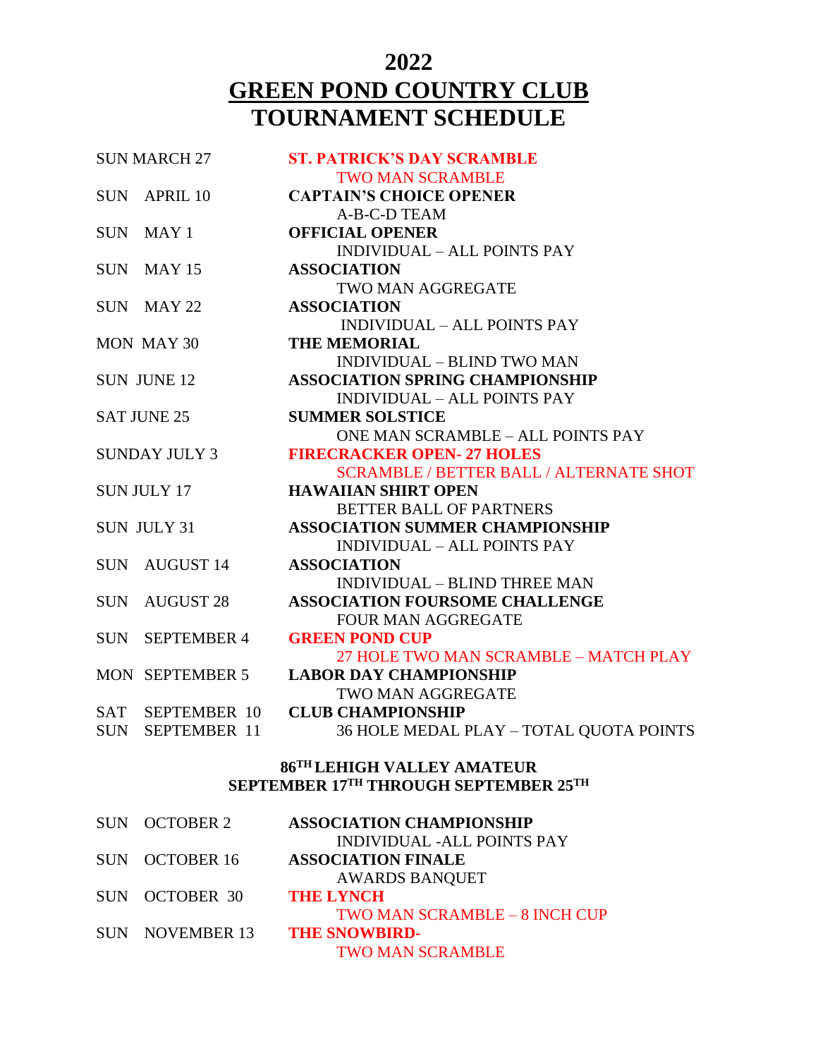### **2022 GREEN POND COUNTRY CLUB TOURNAMENT SCHEDULE**

| <b>SUN MARCH 27</b> |                      | <b>ST. PATRICK'S DAY SCRAMBLE</b>              |
|---------------------|----------------------|------------------------------------------------|
|                     |                      | <b>TWO MAN SCRAMBLE</b>                        |
|                     | SUN APRIL 10         | <b>CAPTAIN'S CHOICE OPENER</b>                 |
|                     |                      | A-B-C-D TEAM                                   |
|                     | SUN MAY 1            | <b>OFFICIAL OPENER</b>                         |
|                     |                      | <b>INDIVIDUAL - ALL POINTS PAY</b>             |
|                     | SUN MAY 15           | <b>ASSOCIATION</b>                             |
|                     |                      | TWO MAN AGGREGATE                              |
|                     | SUN MAY 22           | <b>ASSOCIATION</b>                             |
|                     |                      | <b>INDIVIDUAL - ALL POINTS PAY</b>             |
|                     | MON MAY 30           | <b>THE MEMORIAL</b>                            |
|                     |                      | <b>INDIVIDUAL - BLIND TWO MAN</b>              |
|                     | <b>SUN JUNE 12</b>   | <b>ASSOCIATION SPRING CHAMPIONSHIP</b>         |
|                     |                      | <b>INDIVIDUAL – ALL POINTS PAY</b>             |
| <b>SAT JUNE 25</b>  |                      | <b>SUMMER SOLSTICE</b>                         |
|                     |                      | <b>ONE MAN SCRAMBLE - ALL POINTS PAY</b>       |
|                     | <b>SUNDAY JULY 3</b> | <b>FIRECRACKER OPEN-27 HOLES</b>               |
|                     |                      | <b>SCRAMBLE / BETTER BALL / ALTERNATE SHOT</b> |
| <b>SUN JULY 17</b>  |                      | <b>HAWAIIAN SHIRT OPEN</b>                     |
|                     |                      | <b>BETTER BALL OF PARTNERS</b>                 |
|                     | <b>SUN JULY 31</b>   | <b>ASSOCIATION SUMMER CHAMPIONSHIP</b>         |
|                     |                      | <b>INDIVIDUAL - ALL POINTS PAY</b>             |
|                     | SUN AUGUST 14        | <b>ASSOCIATION</b>                             |
|                     |                      | INDIVIDUAL - BLIND THREE MAN                   |
|                     | SUN AUGUST 28        | <b>ASSOCIATION FOURSOME CHALLENGE</b>          |
|                     |                      | <b>FOUR MAN AGGREGATE</b>                      |
|                     | SUN SEPTEMBER 4      | <b>GREEN POND CUP</b>                          |
|                     |                      | 27 HOLE TWO MAN SCRAMBLE - MATCH PLAY          |
|                     | MON SEPTEMBER 5      | <b>LABOR DAY CHAMPIONSHIP</b>                  |
|                     |                      | <b>TWO MAN AGGREGATE</b>                       |
| SAT                 | <b>SEPTEMBER 10</b>  | <b>CLUB CHAMPIONSHIP</b>                       |
| SUN                 | SEPTEMBER 11         | 36 HOLE MEDAL PLAY - TOTAL QUOTA POINTS        |

#### **86TH LEHIGH VALLEY AMATEUR SEPTEMBER 17TH THROUGH SEPTEMBER 25TH**

|                 | <b>ASSOCIATION CHAMPIONSHIP</b>                   |
|-----------------|---------------------------------------------------|
|                 | <b>INDIVIDUAL -ALL POINTS PAY</b>                 |
|                 | <b>ASSOCIATION FINALE</b>                         |
|                 | <b>AWARDS BANQUET</b>                             |
|                 | <b>THE LYNCH</b>                                  |
|                 | TWO MAN SCRAMBLE - 8 INCH CUP                     |
| SUN NOVEMBER 13 | <b>THE SNOWBIRD-</b>                              |
|                 | <b>TWO MAN SCRAMBLE</b>                           |
|                 | SUN OCTOBER 2<br>SUN OCTOBER 16<br>SUN OCTOBER 30 |